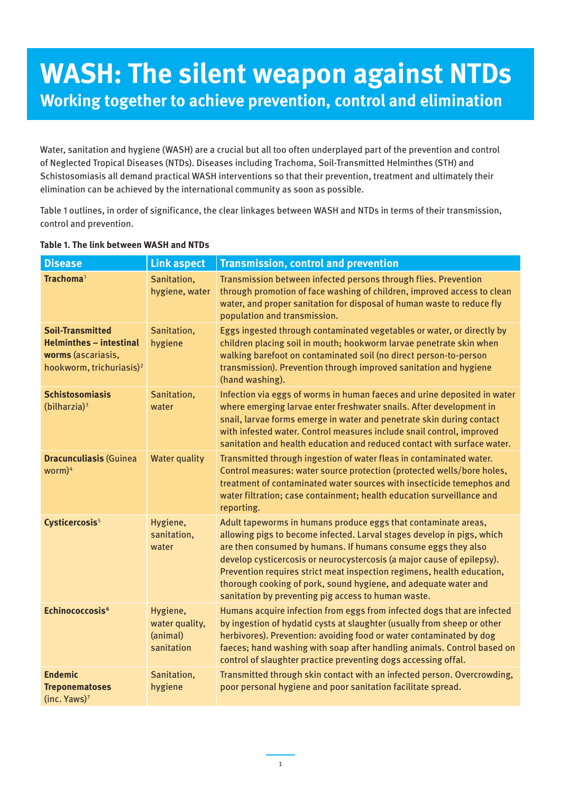# **WASH: The silent weapon against NTDs Working together to achieve prevention, control and elimination**

Water, sanitation and hygiene (WASH) are a crucial but all too often underplayed part of the prevention and control of Neglected Tropical Diseases (NTDs). Diseases including Trachoma, Soil-Transmitted Helminthes (STH) and Schistosomiasis all demand practical WASH interventions so that their prevention, treatment and ultimately their elimination can be achieved by the international community as soon as possible.

Table 1 outlines, in order of significance, the clear linkages between WASH and NTDs in terms of their transmission, control and prevention.

| <b>Disease</b>                                                                                                          | <b>Link aspect</b>                                   | <b>Transmission, control and prevention</b>                                                                                                                                                                                                                                                                                                                                                                                                                                             |
|-------------------------------------------------------------------------------------------------------------------------|------------------------------------------------------|-----------------------------------------------------------------------------------------------------------------------------------------------------------------------------------------------------------------------------------------------------------------------------------------------------------------------------------------------------------------------------------------------------------------------------------------------------------------------------------------|
| Trachoma <sup>1</sup>                                                                                                   | Sanitation,<br>hygiene, water                        | Transmission between infected persons through flies. Prevention<br>through promotion of face washing of children, improved access to clean<br>water, and proper sanitation for disposal of human waste to reduce fly<br>population and transmission.                                                                                                                                                                                                                                    |
| <b>Soil-Transmitted</b><br><b>Helminthes - intestinal</b><br>worms (ascariasis,<br>hookworm, trichuriasis) <sup>2</sup> | Sanitation,<br>hygiene                               | Eggs ingested through contaminated vegetables or water, or directly by<br>children placing soil in mouth; hookworm larvae penetrate skin when<br>walking barefoot on contaminated soil (no direct person-to-person<br>transmission). Prevention through improved sanitation and hygiene<br>(hand washing).                                                                                                                                                                              |
| <b>Schistosomiasis</b><br>(bilharzia) <sup>3</sup>                                                                      | Sanitation,<br>water                                 | Infection via eggs of worms in human faeces and urine deposited in water<br>where emerging larvae enter freshwater snails. After development in<br>snail, larvae forms emerge in water and penetrate skin during contact<br>with infested water. Control measures include snail control, improved<br>sanitation and health education and reduced contact with surface water.                                                                                                            |
| <b>Dracunculiasis (Guinea</b><br>$worm)^4$                                                                              | <b>Water quality</b>                                 | Transmitted through ingestion of water fleas in contaminated water.<br>Control measures: water source protection (protected wells/bore holes,<br>treatment of contaminated water sources with insecticide temephos and<br>water filtration; case containment; health education surveillance and<br>reporting.                                                                                                                                                                           |
| Cysticercosis <sup>5</sup>                                                                                              | Hygiene,<br>sanitation,<br>water                     | Adult tapeworms in humans produce eggs that contaminate areas,<br>allowing pigs to become infected. Larval stages develop in pigs, which<br>are then consumed by humans. If humans consume eggs they also<br>develop cysticercosis or neurocystercosis (a major cause of epilepsy).<br>Prevention requires strict meat inspection regimens, health education,<br>thorough cooking of pork, sound hygiene, and adequate water and<br>sanitation by preventing pig access to human waste. |
| Echinococcosis <sup>6</sup>                                                                                             | Hygiene,<br>water quality,<br>(animal)<br>sanitation | Humans acquire infection from eggs from infected dogs that are infected<br>by ingestion of hydatid cysts at slaughter (usually from sheep or other<br>herbivores). Prevention: avoiding food or water contaminated by dog<br>faeces; hand washing with soap after handling animals. Control based on<br>control of slaughter practice preventing dogs accessing offal.                                                                                                                  |
| <b>Endemic</b><br><b>Treponematoses</b><br>(inc. Yaws) <sup>7</sup>                                                     | Sanitation,<br>hygiene                               | Transmitted through skin contact with an infected person. Overcrowding,<br>poor personal hygiene and poor sanitation facilitate spread.                                                                                                                                                                                                                                                                                                                                                 |

#### **Table 1. The link between WASH and NTDs**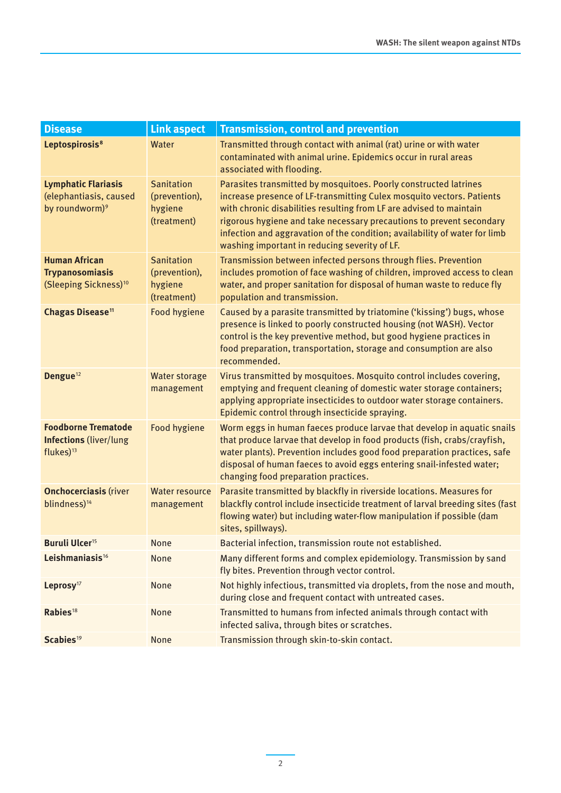| <b>Disease</b>                                                                       | <b>Link aspect</b>                                           | <b>Transmission, control and prevention</b>                                                                                                                                                                                                                                                                                                                                                                             |
|--------------------------------------------------------------------------------------|--------------------------------------------------------------|-------------------------------------------------------------------------------------------------------------------------------------------------------------------------------------------------------------------------------------------------------------------------------------------------------------------------------------------------------------------------------------------------------------------------|
| Leptospirosis <sup>8</sup>                                                           | Water                                                        | Transmitted through contact with animal (rat) urine or with water<br>contaminated with animal urine. Epidemics occur in rural areas<br>associated with flooding.                                                                                                                                                                                                                                                        |
| <b>Lymphatic Flariasis</b><br>(elephantiasis, caused<br>by roundworm) <sup>9</sup>   | <b>Sanitation</b><br>(prevention),<br>hygiene<br>(treatment) | Parasites transmitted by mosquitoes. Poorly constructed latrines<br>increase presence of LF-transmitting Culex mosquito vectors. Patients<br>with chronic disabilities resulting from LF are advised to maintain<br>rigorous hygiene and take necessary precautions to prevent secondary<br>infection and aggravation of the condition; availability of water for limb<br>washing important in reducing severity of LF. |
| <b>Human African</b><br><b>Trypanosomiasis</b><br>(Sleeping Sickness) <sup>10</sup>  | <b>Sanitation</b><br>(prevention),<br>hygiene<br>(treatment) | Transmission between infected persons through flies. Prevention<br>includes promotion of face washing of children, improved access to clean<br>water, and proper sanitation for disposal of human waste to reduce fly<br>population and transmission.                                                                                                                                                                   |
| Chagas Disease <sup>11</sup>                                                         | <b>Food hygiene</b>                                          | Caused by a parasite transmitted by triatomine ('kissing') bugs, whose<br>presence is linked to poorly constructed housing (not WASH). Vector<br>control is the key preventive method, but good hygiene practices in<br>food preparation, transportation, storage and consumption are also<br>recommended.                                                                                                              |
| Dengue <sup>12</sup>                                                                 | <b>Water storage</b><br>management                           | Virus transmitted by mosquitoes. Mosquito control includes covering,<br>emptying and frequent cleaning of domestic water storage containers;<br>applying appropriate insecticides to outdoor water storage containers.<br>Epidemic control through insecticide spraying.                                                                                                                                                |
| <b>Foodborne Trematode</b><br><b>Infections (liver/lung</b><br>flukes) <sup>13</sup> | <b>Food hygiene</b>                                          | Worm eggs in human faeces produce larvae that develop in aquatic snails<br>that produce larvae that develop in food products (fish, crabs/crayfish,<br>water plants). Prevention includes good food preparation practices, safe<br>disposal of human faeces to avoid eggs entering snail-infested water;<br>changing food preparation practices.                                                                        |
| <b>Onchocerciasis (river</b><br>blindness) <sup>14</sup>                             | <b>Water resource</b><br>management                          | Parasite transmitted by blackfly in riverside locations. Measures for<br>blackfly control include insecticide treatment of larval breeding sites (fast<br>flowing water) but including water-flow manipulation if possible (dam<br>sites, spillways).                                                                                                                                                                   |
| <b>Buruli Ulcer<sup>15</sup></b>                                                     | None                                                         | Bacterial infection, transmission route not established.                                                                                                                                                                                                                                                                                                                                                                |
| Leishmaniasis <sup>16</sup>                                                          | None                                                         | Many different forms and complex epidemiology. Transmission by sand<br>fly bites. Prevention through vector control.                                                                                                                                                                                                                                                                                                    |
| Leprosy <sup>17</sup>                                                                | None                                                         | Not highly infectious, transmitted via droplets, from the nose and mouth,<br>during close and frequent contact with untreated cases.                                                                                                                                                                                                                                                                                    |
| Rabies <sup>18</sup>                                                                 | None                                                         | Transmitted to humans from infected animals through contact with<br>infected saliva, through bites or scratches.                                                                                                                                                                                                                                                                                                        |
| Scabies <sup>19</sup>                                                                | <b>None</b>                                                  | Transmission through skin-to-skin contact.                                                                                                                                                                                                                                                                                                                                                                              |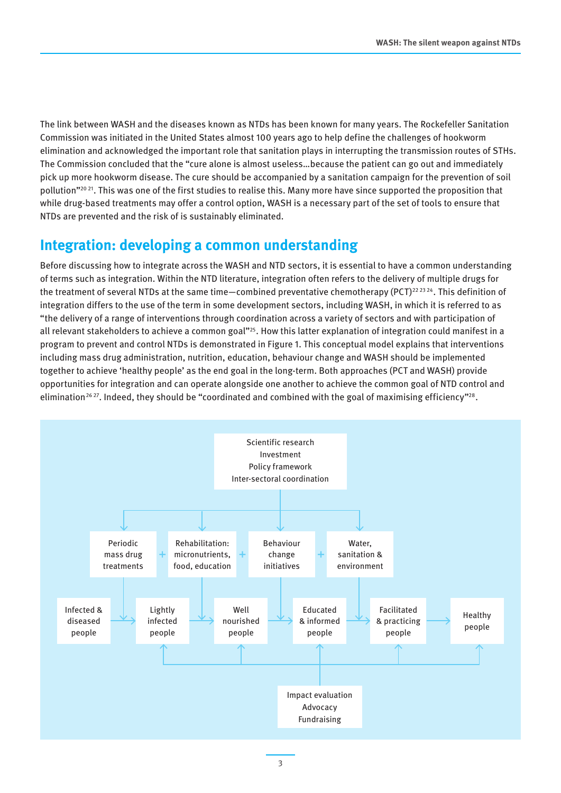The link between WASH and the diseases known as NTDs has been known for many years. The Rockefeller Sanitation Commission was initiated in the United States almost 100 years ago to help define the challenges of hookworm elimination and acknowledged the important role that sanitation plays in interrupting the transmission routes of STHs. The Commission concluded that the "cure alone is almost useless…because the patient can go out and immediately pick up more hookworm disease. The cure should be accompanied by a sanitation campaign for the prevention of soil pollution"2021. This was one of the first studies to realise this. Many more have since supported the proposition that while drug-based treatments may offer a control option, WASH is a necessary part of the set of tools to ensure that NTDs are prevented and the risk of is sustainably eliminated.

# **Integration: developing a common understanding**

Before discussing how to integrate across the WASH and NTD sectors, it is essential to have a common understanding of terms such as integration. Within the NTD literature, integration often refers to the delivery of multiple drugs for the treatment of several NTDs at the same time—combined preventative chemotherapy (PCT)<sup>22 23 24</sup>. This definition of integration differs to the use of the term in some development sectors, including WASH, in which it is referred to as "the delivery of a range of interventions through coordination across a variety of sectors and with participation of all relevant stakeholders to achieve a common goal"<sup>25</sup>. How this latter explanation of integration could manifest in a program to prevent and control NTDs is demonstrated in Figure 1. This conceptual model explains that interventions including mass drug administration, nutrition, education, behaviour change and WASH should be implemented together to achieve 'healthy people' as the end goal in the long-term. Both approaches (PCT and WASH) provide opportunities for integration and can operate alongside one another to achieve the common goal of NTD control and elimination<sup>2627</sup>. Indeed, they should be "coordinated and combined with the goal of maximising efficiency"<sup>28</sup>.

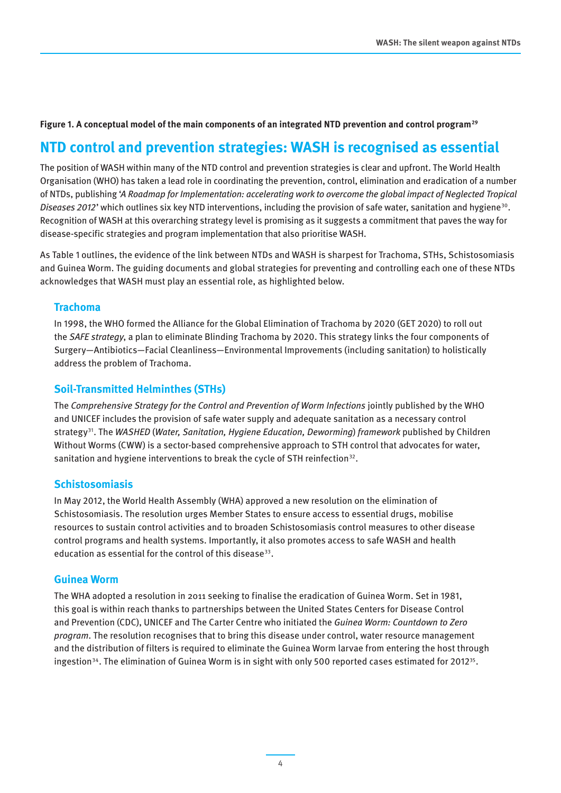#### **Figure 1. A conceptual model of the main components of an integrated NTD prevention and control program<sup>29</sup>**

# **NTD control and prevention strategies: WASH is recognised as essential**

The position of WASH within many of the NTD control and prevention strategies is clear and upfront. The World Health Organisation (WHO) has taken a lead role in coordinating the prevention, control, elimination and eradication of a number of NTDs, publishing '*A Roadmap for Implementation: accelerating work to overcome the global impact of Neglected Tropical Diseases 2012'* which outlines six key NTD interventions, including the provision of safe water, sanitation and hygiene<sup>30</sup>. Recognition of WASH at this overarching strategy level is promising as it suggests a commitment that paves the way for disease-specific strategies and program implementation that also prioritise WASH.

As Table 1 outlines, the evidence of the link between NTDs and WASH is sharpest for Trachoma, STHs, Schistosomiasis and Guinea Worm. The guiding documents and global strategies for preventing and controlling each one of these NTDs acknowledges that WASH must play an essential role, as highlighted below.

#### **Trachoma**

In 1998, the WHO formed the Alliance for the Global Elimination of Trachoma by 2020 (GET 2020) to roll out the *SAFE strategy*, a plan to eliminate Blinding Trachoma by 2020. This strategy links the four components of Surgery—Antibiotics—Facial Cleanliness—Environmental Improvements (including sanitation) to holistically address the problem of Trachoma.

#### **Soil-Transmitted Helminthes (STHs)**

The *Comprehensive Strategy for the Control and Prevention of Worm Infections* jointly published by the WHO and UNICEF includes the provision of safe water supply and adequate sanitation as a necessary control strategy31. The *WASHED* (*Water, Sanitation, Hygiene Education, Deworming*) *framework* published by Children Without Worms (CWW) is a sector-based comprehensive approach to STH control that advocates for water, sanitation and hygiene interventions to break the cycle of STH reinfection<sup>32</sup>.

#### **Schistosomiasis**

In May 2012, the World Health Assembly (WHA) approved a new resolution on the elimination of Schistosomiasis. The resolution urges Member States to ensure access to essential drugs, mobilise resources to sustain control activities and to broaden Schistosomiasis control measures to other disease control programs and health systems. Importantly, it also promotes access to safe WASH and health education as essential for the control of this disease<sup>33</sup>.

#### **Guinea Worm**

The WHA adopted a resolution in 2011 seeking to finalise the eradication of Guinea Worm. Set in 1981, this goal is within reach thanks to partnerships between the United States Centers for Disease Control and Prevention (CDC), UNICEF and The Carter Centre who initiated the *Guinea Worm: Countdown to Zero program*. The resolution recognises that to bring this disease under control, water resource management and the distribution of filters is required to eliminate the Guinea Worm larvae from entering the host through ingestion<sup>34</sup>. The elimination of Guinea Worm is in sight with only 500 reported cases estimated for 2012<sup>35</sup>.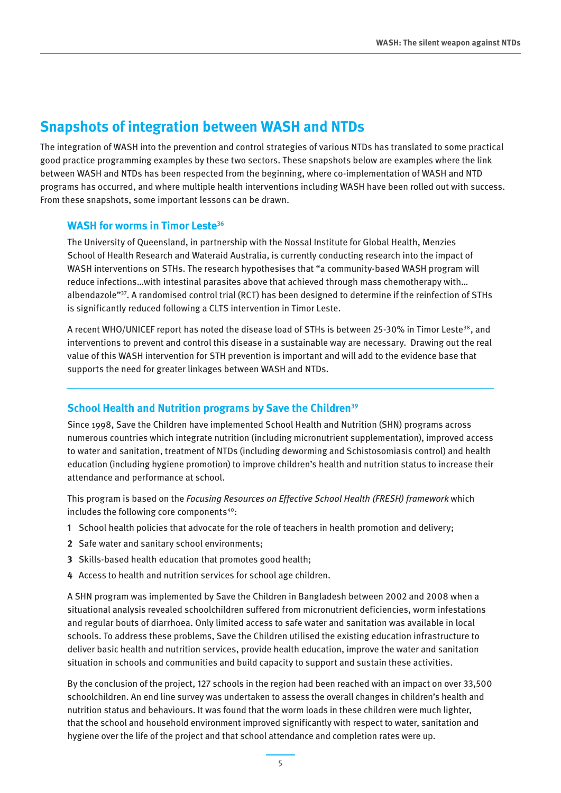# **Snapshots of integration between WASH and NTDs**

The integration of WASH into the prevention and control strategies of various NTDs has translated to some practical good practice programming examples by these two sectors. These snapshots below are examples where the link between WASH and NTDs has been respected from the beginning, where co-implementation of WASH and NTD programs has occurred, and where multiple health interventions including WASH have been rolled out with success. From these snapshots, some important lessons can be drawn.

#### **WASH for worms in Timor Leste<sup>36</sup>**

The University of Queensland, in partnership with the Nossal Institute for Global Health, Menzies School of Health Research and Wateraid Australia, is currently conducting research into the impact of WASH interventions on STHs. The research hypothesises that "a community-based WASH program will reduce infections…with intestinal parasites above that achieved through mass chemotherapy with… albendazole"37. A randomised control trial (RCT) has been designed to determine if the reinfection of STHs is significantly reduced following a CLTS intervention in Timor Leste.

A recent WHO/UNICEF report has noted the disease load of STHs is between 25-30% in Timor Leste<sup>38</sup>, and interventions to prevent and control this disease in a sustainable way are necessary. Drawing out the real value of this WASH intervention for STH prevention is important and will add to the evidence base that supports the need for greater linkages between WASH and NTDs.

### **School Health and Nutrition programs by Save the Children<sup>39</sup>**

Since 1998, Save the Children have implemented School Health and Nutrition (SHN) programs across numerous countries which integrate nutrition (including micronutrient supplementation), improved access to water and sanitation, treatment of NTDs (including deworming and Schistosomiasis control) and health education (including hygiene promotion) to improve children's health and nutrition status to increase their attendance and performance at school.

This program is based on the *Focusing Resources on Effective School Health (FRESH) framework* which includes the following core components $40$ :

- **1** School health policies that advocate for the role of teachers in health promotion and delivery;
- **2** Safe water and sanitary school environments;
- **3** Skills-based health education that promotes good health;
- **4** Access to health and nutrition services for school age children.

A SHN program was implemented by Save the Children in Bangladesh between 2002 and 2008 when a situational analysis revealed schoolchildren suffered from micronutrient deficiencies, worm infestations and regular bouts of diarrhoea. Only limited access to safe water and sanitation was available in local schools. To address these problems, Save the Children utilised the existing education infrastructure to deliver basic health and nutrition services, provide health education, improve the water and sanitation situation in schools and communities and build capacity to support and sustain these activities.

By the conclusion of the project, 127 schools in the region had been reached with an impact on over 33,500 schoolchildren. An end line survey was undertaken to assess the overall changes in children's health and nutrition status and behaviours. It was found that the worm loads in these children were much lighter, that the school and household environment improved significantly with respect to water, sanitation and hygiene over the life of the project and that school attendance and completion rates were up.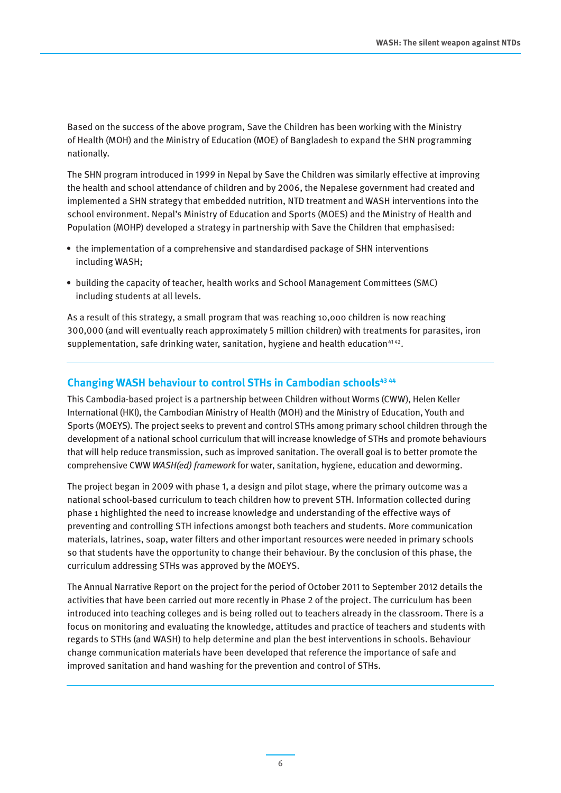Based on the success of the above program, Save the Children has been working with the Ministry of Health (MOH) and the Ministry of Education (MOE) of Bangladesh to expand the SHN programming nationally.

The SHN program introduced in 1999 in Nepal by Save the Children was similarly effective at improving the health and school attendance of children and by 2006, the Nepalese government had created and implemented a SHN strategy that embedded nutrition, NTD treatment and WASH interventions into the school environment. Nepal's Ministry of Education and Sports (MOES) and the Ministry of Health and Population (MOHP) developed a strategy in partnership with Save the Children that emphasised:

- the implementation of a comprehensive and standardised package of SHN interventions including WASH;
- • building the capacity of teacher, health works and School Management Committees (SMC) including students at all levels.

As a result of this strategy, a small program that was reaching 10,000 children is now reaching 300,000 (and will eventually reach approximately 5 million children) with treatments for parasites, iron supplementation, safe drinking water, sanitation, hygiene and health education $4142$ .

### **Changing WASH behaviour to control STHs in Cambodian schools43 44**

This Cambodia-based project is a partnership between Children without Worms (CWW), Helen Keller International (HKI), the Cambodian Ministry of Health (MOH) and the Ministry of Education, Youth and Sports (MOEYS). The project seeks to prevent and control STHs among primary school children through the development of a national school curriculum that will increase knowledge of STHs and promote behaviours that will help reduce transmission, such as improved sanitation. The overall goal is to better promote the comprehensive CWW *WASH(ed) framework* for water, sanitation, hygiene, education and deworming.

The project began in 2009 with phase 1, a design and pilot stage, where the primary outcome was a national school-based curriculum to teach children how to prevent STH. Information collected during phase 1 highlighted the need to increase knowledge and understanding of the effective ways of preventing and controlling STH infections amongst both teachers and students. More communication materials, latrines, soap, water filters and other important resources were needed in primary schools so that students have the opportunity to change their behaviour. By the conclusion of this phase, the curriculum addressing STHs was approved by the MOEYS.

The Annual Narrative Report on the project for the period of October 2011 to September 2012 details the activities that have been carried out more recently in Phase 2 of the project. The curriculum has been introduced into teaching colleges and is being rolled out to teachers already in the classroom. There is a focus on monitoring and evaluating the knowledge, attitudes and practice of teachers and students with regards to STHs (and WASH) to help determine and plan the best interventions in schools. Behaviour change communication materials have been developed that reference the importance of safe and improved sanitation and hand washing for the prevention and control of STHs.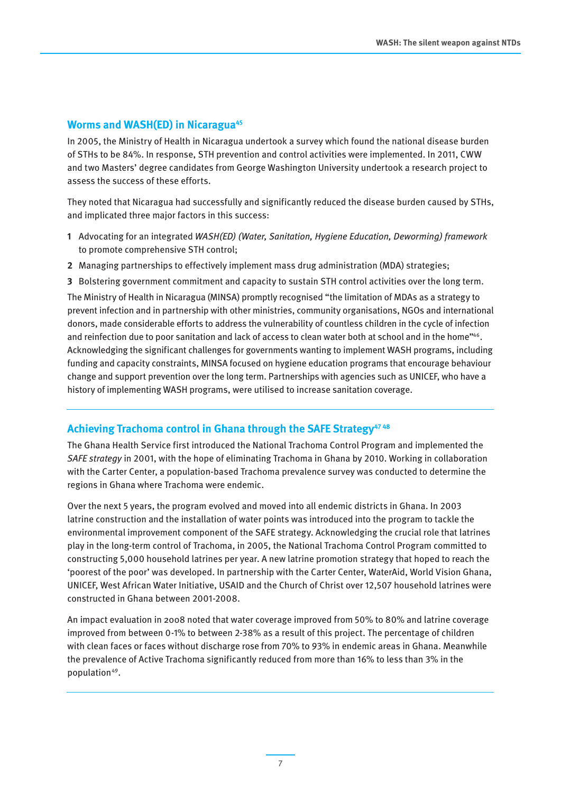#### **Worms and WASH(ED) in Nicaragua<sup>45</sup>**

In 2005, the Ministry of Health in Nicaragua undertook a survey which found the national disease burden of STHs to be 84%. In response, STH prevention and control activities were implemented. In 2011, CWW and two Masters' degree candidates from George Washington University undertook a research project to assess the success of these efforts.

They noted that Nicaragua had successfully and significantly reduced the disease burden caused by STHs, and implicated three major factors in this success:

- **1** Advocating for an integrated *WASH(ED) (Water, Sanitation, Hygiene Education, Deworming) framework* to promote comprehensive STH control;
- **2** Managing partnerships to effectively implement mass drug administration (MDA) strategies;
- **3** Bolstering government commitment and capacity to sustain STH control activities over the long term.

The Ministry of Health in Nicaragua (MINSA) promptly recognised "the limitation of MDAs as a strategy to prevent infection and in partnership with other ministries, community organisations, NGOs and international donors, made considerable efforts to address the vulnerability of countless children in the cycle of infection and reinfection due to poor sanitation and lack of access to clean water both at school and in the home"<sup>46</sup>. Acknowledging the significant challenges for governments wanting to implement WASH programs, including funding and capacity constraints, MINSA focused on hygiene education programs that encourage behaviour change and support prevention over the long term. Partnerships with agencies such as UNICEF, who have a history of implementing WASH programs, were utilised to increase sanitation coverage.

#### **Achieving Trachoma control in Ghana through the SAFE Strategy47 48**

The Ghana Health Service first introduced the National Trachoma Control Program and implemented the *SAFE strategy* in 2001, with the hope of eliminating Trachoma in Ghana by 2010. Working in collaboration with the Carter Center, a population-based Trachoma prevalence survey was conducted to determine the regions in Ghana where Trachoma were endemic.

Over the next 5 years, the program evolved and moved into all endemic districts in Ghana. In 2003 latrine construction and the installation of water points was introduced into the program to tackle the environmental improvement component of the SAFE strategy. Acknowledging the crucial role that latrines play in the long-term control of Trachoma, in 2005, the National Trachoma Control Program committed to constructing 5,000 household latrines per year. A new latrine promotion strategy that hoped to reach the 'poorest of the poor' was developed. In partnership with the Carter Center, WaterAid, World Vision Ghana, UNICEF, West African Water Initiative, USAID and the Church of Christ over 12,507 household latrines were constructed in Ghana between 2001-2008.

An impact evaluation in 2008 noted that water coverage improved from 50% to 80% and latrine coverage improved from between 0-1% to between 2-38% as a result of this project. The percentage of children with clean faces or faces without discharge rose from 70% to 93% in endemic areas in Ghana. Meanwhile the prevalence of Active Trachoma significantly reduced from more than 16% to less than 3% in the population<sup>49</sup>.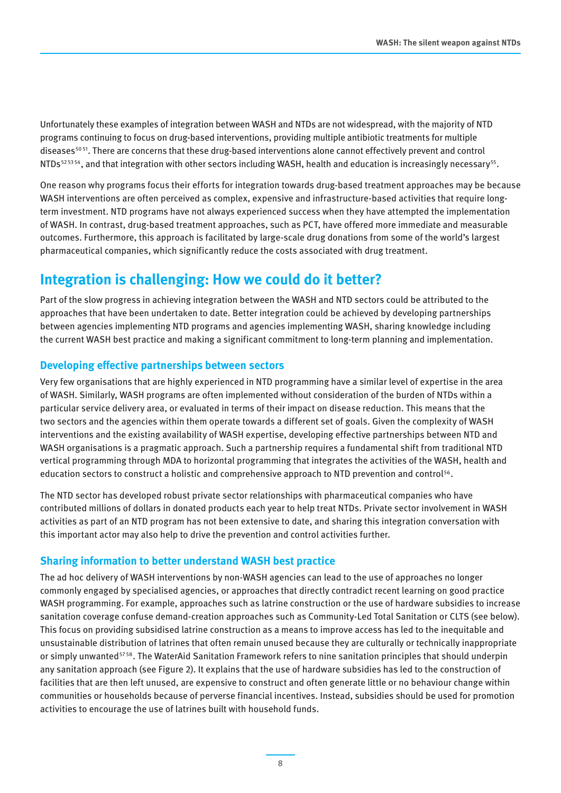Unfortunately these examples of integration between WASH and NTDs are not widespread, with the majority of NTD programs continuing to focus on drug-based interventions, providing multiple antibiotic treatments for multiple diseases<sup>5051</sup>. There are concerns that these drug-based interventions alone cannot effectively prevent and control NTDs<sup>525354</sup>, and that integration with other sectors including WASH, health and education is increasingly necessary<sup>55</sup>.

One reason why programs focus their efforts for integration towards drug-based treatment approaches may be because WASH interventions are often perceived as complex, expensive and infrastructure-based activities that require longterm investment. NTD programs have not always experienced success when they have attempted the implementation of WASH. In contrast, drug-based treatment approaches, such as PCT, have offered more immediate and measurable outcomes. Furthermore, this approach is facilitated by large-scale drug donations from some of the world's largest pharmaceutical companies, which significantly reduce the costs associated with drug treatment.

# **Integration is challenging: How we could do it better?**

Part of the slow progress in achieving integration between the WASH and NTD sectors could be attributed to the approaches that have been undertaken to date. Better integration could be achieved by developing partnerships between agencies implementing NTD programs and agencies implementing WASH, sharing knowledge including the current WASH best practice and making a significant commitment to long-term planning and implementation.

## **Developing effective partnerships between sectors**

Very few organisations that are highly experienced in NTD programming have a similar level of expertise in the area of WASH. Similarly, WASH programs are often implemented without consideration of the burden of NTDs within a particular service delivery area, or evaluated in terms of their impact on disease reduction. This means that the two sectors and the agencies within them operate towards a different set of goals. Given the complexity of WASH interventions and the existing availability of WASH expertise, developing effective partnerships between NTD and WASH organisations is a pragmatic approach. Such a partnership requires a fundamental shift from traditional NTD vertical programming through MDA to horizontal programming that integrates the activities of the WASH, health and education sectors to construct a holistic and comprehensive approach to NTD prevention and control<sup>56</sup>.

The NTD sector has developed robust private sector relationships with pharmaceutical companies who have contributed millions of dollars in donated products each year to help treat NTDs. Private sector involvement in WASH activities as part of an NTD program has not been extensive to date, and sharing this integration conversation with this important actor may also help to drive the prevention and control activities further.

### **Sharing information to better understand WASH best practice**

The ad hoc delivery of WASH interventions by non-WASH agencies can lead to the use of approaches no longer commonly engaged by specialised agencies, or approaches that directly contradict recent learning on good practice WASH programming. For example, approaches such as latrine construction or the use of hardware subsidies to increase sanitation coverage confuse demand-creation approaches such as Community-Led Total Sanitation or CLTS (see below). This focus on providing subsidised latrine construction as a means to improve access has led to the inequitable and unsustainable distribution of latrines that often remain unused because they are culturally or technically inappropriate or simply unwanted<sup>5758</sup>. The WaterAid Sanitation Framework refers to nine sanitation principles that should underpin any sanitation approach (see Figure 2). It explains that the use of hardware subsidies has led to the construction of facilities that are then left unused, are expensive to construct and often generate little or no behaviour change within communities or households because of perverse financial incentives. Instead, subsidies should be used for promotion activities to encourage the use of latrines built with household funds.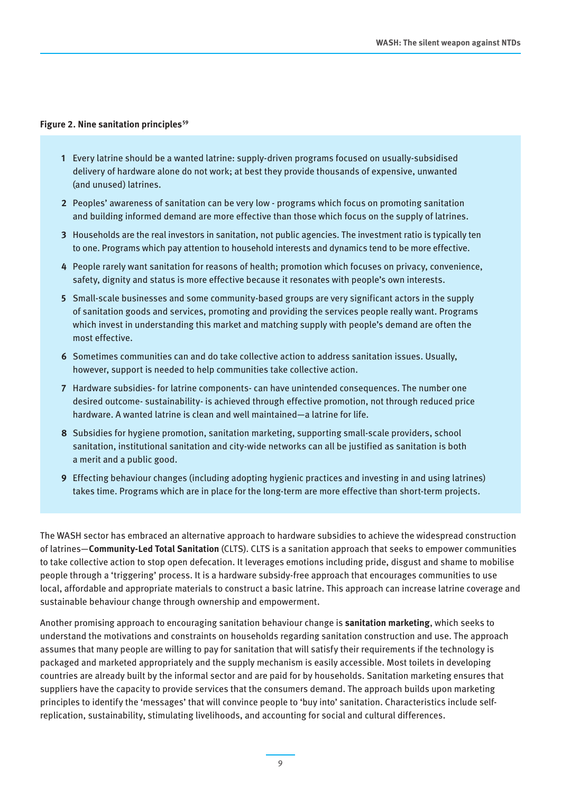#### **Figure 2. Nine sanitation principles<sup>59</sup>**

- **1** Every latrine should be a wanted latrine: supply-driven programs focused on usually-subsidised delivery of hardware alone do not work; at best they provide thousands of expensive, unwanted (and unused) latrines.
- **2** Peoples' awareness of sanitation can be very low programs which focus on promoting sanitation and building informed demand are more effective than those which focus on the supply of latrines.
- **3** Households are the real investors in sanitation, not public agencies. The investment ratio is typically ten to one. Programs which pay attention to household interests and dynamics tend to be more effective.
- **4** People rarely want sanitation for reasons of health; promotion which focuses on privacy, convenience, safety, dignity and status is more effective because it resonates with people's own interests.
- **5** Small-scale businesses and some community-based groups are very significant actors in the supply of sanitation goods and services, promoting and providing the services people really want. Programs which invest in understanding this market and matching supply with people's demand are often the most effective.
- **6** Sometimes communities can and do take collective action to address sanitation issues. Usually, however, support is needed to help communities take collective action.
- **7** Hardware subsidies- for latrine components- can have unintended consequences. The number one desired outcome- sustainability- is achieved through effective promotion, not through reduced price hardware. A wanted latrine is clean and well maintained—a latrine for life.
- **8** Subsidies for hygiene promotion, sanitation marketing, supporting small-scale providers, school sanitation, institutional sanitation and city-wide networks can all be justified as sanitation is both a merit and a public good.
- **9** Effecting behaviour changes (including adopting hygienic practices and investing in and using latrines) takes time. Programs which are in place for the long-term are more effective than short-term projects.

The WASH sector has embraced an alternative approach to hardware subsidies to achieve the widespread construction of latrines—**Community-Led Total Sanitation** (CLTS). CLTS is a sanitation approach that seeks to empower communities to take collective action to stop open defecation. It leverages emotions including pride, disgust and shame to mobilise people through a 'triggering' process. It is a hardware subsidy-free approach that encourages communities to use local, affordable and appropriate materials to construct a basic latrine. This approach can increase latrine coverage and sustainable behaviour change through ownership and empowerment.

Another promising approach to encouraging sanitation behaviour change is **sanitation marketing**, which seeks to understand the motivations and constraints on households regarding sanitation construction and use. The approach assumes that many people are willing to pay for sanitation that will satisfy their requirements if the technology is packaged and marketed appropriately and the supply mechanism is easily accessible. Most toilets in developing countries are already built by the informal sector and are paid for by households. Sanitation marketing ensures that suppliers have the capacity to provide services that the consumers demand. The approach builds upon marketing principles to identify the 'messages' that will convince people to 'buy into' sanitation. Characteristics include selfreplication, sustainability, stimulating livelihoods, and accounting for social and cultural differences.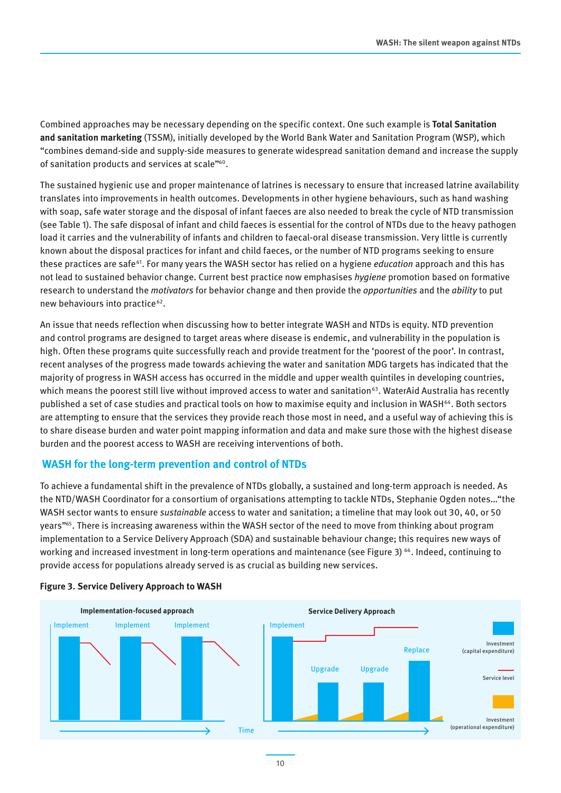Combined approaches may be necessary depending on the specific context. One such example is **Total Sanitation and sanitation marketing** (TSSM), initially developed by the World Bank Water and Sanitation Program (WSP), which "combines demand-side and supply-side measures to generate widespread sanitation demand and increase the supply of sanitation products and services at scale"<sup>60</sup>.

The sustained hygienic use and proper maintenance of latrines is necessary to ensure that increased latrine availability translates into improvements in health outcomes. Developments in other hygiene behaviours, such as hand washing with soap, safe water storage and the disposal of infant faeces are also needed to break the cycle of NTD transmission (see Table 1). The safe disposal of infant and child faeces is essential for the control of NTDs due to the heavy pathogen load it carries and the vulnerability of infants and children to faecal-oral disease transmission. Very little is currently known about the disposal practices for infant and child faeces, or the number of NTD programs seeking to ensure these practices are safe61. For many years the WASH sector has relied on a hygiene *education* approach and this has not lead to sustained behavior change. Current best practice now emphasises *hygiene* promotion based on formative research to understand the *motivators* for behavior change and then provide the *opportunities* and the *ability* to put new behaviours into practice<sup>62</sup>.

An issue that needs reflection when discussing how to better integrate WASH and NTDs is equity. NTD prevention and control programs are designed to target areas where disease is endemic, and vulnerability in the population is high. Often these programs quite successfully reach and provide treatment for the 'poorest of the poor'. In contrast, recent analyses of the progress made towards achieving the water and sanitation MDG targets has indicated that the majority of progress in WASH access has occurred in the middle and upper wealth quintiles in developing countries, which means the poorest still live without improved access to water and sanitation<sup>63</sup>. WaterAid Australia has recently published a set of case studies and practical tools on how to maximise equity and inclusion in WASH<sup>64</sup>. Both sectors are attempting to ensure that the services they provide reach those most in need, and a useful way of achieving this is to share disease burden and water point mapping information and data and make sure those with the highest disease burden and the poorest access to WASH are receiving interventions of both.

### **WASH for the long-term prevention and control of NTDs**

To achieve a fundamental shift in the prevalence of NTDs globally, a sustained and long-term approach is needed. As the NTD/WASH Coordinator for a consortium of organisations attempting to tackle NTDs, Stephanie Ogden notes…"the WASH sector wants to ensure *sustainable* access to water and sanitation; a timeline that may look out 30, 40, or 50 years"65. There is increasing awareness within the WASH sector of the need to move from thinking about program implementation to a Service Delivery Approach (SDA) and sustainable behaviour change; this requires new ways of working and increased investment in long-term operations and maintenance (see Figure 3) 66. Indeed, continuing to provide access for populations already served is as crucial as building new services.



#### **Figure 3. Service Delivery Approach to WASH**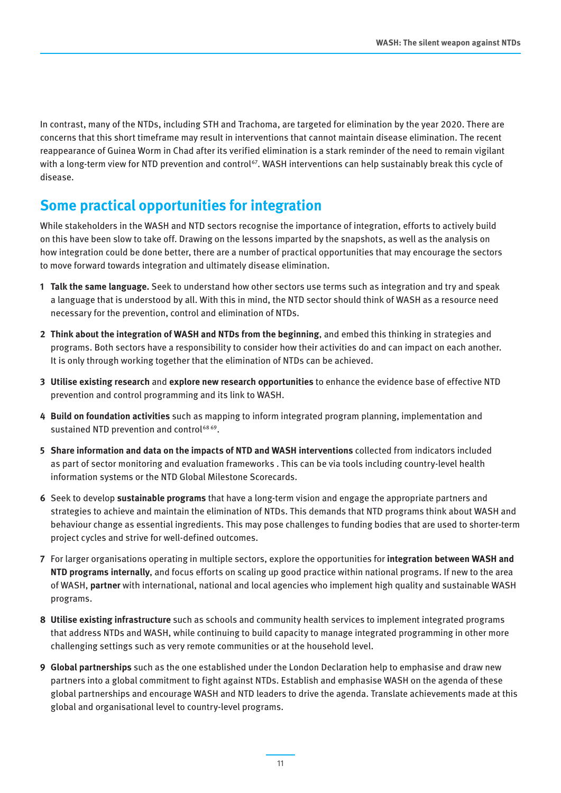In contrast, many of the NTDs, including STH and Trachoma, are targeted for elimination by the year 2020. There are concerns that this short timeframe may result in interventions that cannot maintain disease elimination. The recent reappearance of Guinea Worm in Chad after its verified elimination is a stark reminder of the need to remain vigilant with a long-term view for NTD prevention and control<sup>67</sup>. WASH interventions can help sustainably break this cycle of disease.

# **Some practical opportunities for integration**

While stakeholders in the WASH and NTD sectors recognise the importance of integration, efforts to actively build on this have been slow to take off. Drawing on the lessons imparted by the snapshots, as well as the analysis on how integration could be done better, there are a number of practical opportunities that may encourage the sectors to move forward towards integration and ultimately disease elimination.

- **1 Talk the same language.** Seek to understand how other sectors use terms such as integration and try and speak a language that is understood by all. With this in mind, the NTD sector should think of WASH as a resource need necessary for the prevention, control and elimination of NTDs.
- **2 Think about the integration of WASH and NTDs from the beginning**, and embed this thinking in strategies and programs. Both sectors have a responsibility to consider how their activities do and can impact on each another. It is only through working together that the elimination of NTDs can be achieved.
- **3 Utilise existing research** and **explore new research opportunities** to enhance the evidence base of effective NTD prevention and control programming and its link to WASH.
- **4 Build on foundation activities** such as mapping to inform integrated program planning, implementation and sustained NTD prevention and control<sup>6869</sup>.
- **5 Share information and data on the impacts of NTD and WASH interventions** collected from indicators included as part of sector monitoring and evaluation frameworks . This can be via tools including country-level health information systems or the NTD Global Milestone Scorecards.
- **6** Seek to develop **sustainable programs** that have a long-term vision and engage the appropriate partners and strategies to achieve and maintain the elimination of NTDs. This demands that NTD programs think about WASH and behaviour change as essential ingredients. This may pose challenges to funding bodies that are used to shorter-term project cycles and strive for well-defined outcomes.
- **7** For larger organisations operating in multiple sectors, explore the opportunities for **integration between WASH and NTD programs internally**, and focus efforts on scaling up good practice within national programs. If new to the area of WASH, **partner** with international, national and local agencies who implement high quality and sustainable WASH programs.
- **8 Utilise existing infrastructure** such as schools and community health services to implement integrated programs that address NTDs and WASH, while continuing to build capacity to manage integrated programming in other more challenging settings such as very remote communities or at the household level.
- **9 Global partnerships** such as the one established under the London Declaration help to emphasise and draw new partners into a global commitment to fight against NTDs. Establish and emphasise WASH on the agenda of these global partnerships and encourage WASH and NTD leaders to drive the agenda. Translate achievements made at this global and organisational level to country-level programs.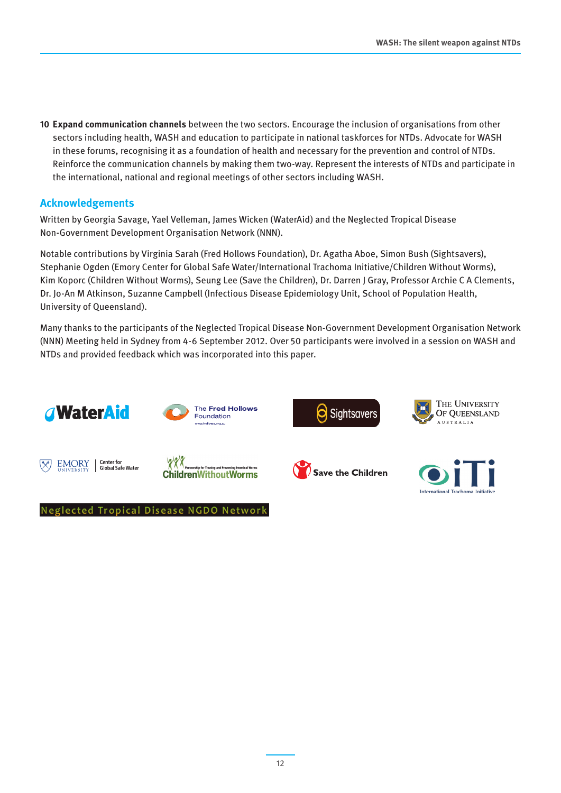**10 Expand communication channels** between the two sectors. Encourage the inclusion of organisations from other sectors including health, WASH and education to participate in national taskforces for NTDs. Advocate for WASH in these forums, recognising it as a foundation of health and necessary for the prevention and control of NTDs. Reinforce the communication channels by making them two-way. Represent the interests of NTDs and participate in the international, national and regional meetings of other sectors including WASH.

### **Acknowledgements**

Written by Georgia Savage, Yael Velleman, James Wicken (WaterAid) and the Neglected Tropical Disease Non-Government Development Organisation Network (NNN).

Notable contributions by Virginia Sarah (Fred Hollows Foundation), Dr. Agatha Aboe, Simon Bush (Sightsavers), Stephanie Ogden (Emory Center for Global Safe Water/International Trachoma Initiative/Children Without Worms), Kim Koporc (Children Without Worms), Seung Lee (Save the Children), Dr. Darren J Gray, Professor Archie C A Clements, Dr. Jo-An M Atkinson, Suzanne Campbell (Infectious Disease Epidemiology Unit, School of Population Health, University of Queensland).

Many thanks to the participants of the Neglected Tropical Disease Non-Government Development Organisation Network (NNN) Meeting held in Sydney from 4-6 September 2012. Over 50 participants were involved in a session on WASH and NTDs and provided feedback which was incorporated into this paper.



**Neglected Tropical Disease NGDO Network** 



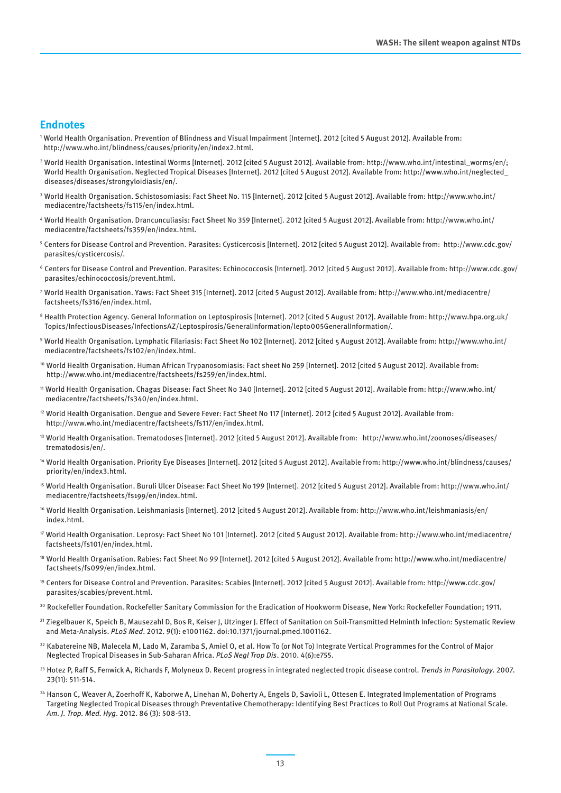#### **Endnotes**

- <sup>1</sup>World Health Organisation. Prevention of Blindness and Visual Impairment [Internet]. 2012 [cited 5 August 2012]. Available from: http://www.who.int/blindness/causes/priority/en/index2.html.
- <sup>2</sup>World Health Organisation. Intestinal Worms [Internet]. 2012 [cited 5 August 2012]. Available from: http://www.who.int/intestinal\_worms/en/; World Health Organisation. Neglected Tropical Diseases [Internet]. 2012 [cited 5 August 2012]. Available from: http://www.who.int/neglected\_ diseases/diseases/strongyloidiasis/en/.
- <sup>3</sup>World Health Organisation. Schistosomiasis: Fact Sheet No. 115 [Internet]. 2012 [cited 5 August 2012]. Available from: http://www.who.int/ mediacentre/factsheets/fs115/en/index.html.
- <sup>4</sup>World Health Organisation. Drancunculiasis: Fact Sheet No 359 [Internet]. 2012 [cited 5 August 2012]. Available from: http://www.who.int/ mediacentre/factsheets/fs359/en/index.html.
- <sup>5</sup>Centers for Disease Control and Prevention. Parasites: Cysticercosis [Internet]. 2012 [cited 5 August 2012]. Available from: http://www.cdc.gov/ parasites/cysticercosis/.
- <sup>6</sup>Centers for Disease Control and Prevention. Parasites: Echinococcosis [Internet]. 2012 [cited 5 August 2012]. Available from: http://www.cdc.gov/ parasites/echinococcosis/prevent.html.
- <sup>7</sup>World Health Organisation. Yaws: Fact Sheet 315 [Internet]. 2012 [cited 5 August 2012]. Available from: http://www.who.int/mediacentre/ factsheets/fs316/en/index.html.
- <sup>8</sup>Health Protection Agency. General Information on Leptospirosis [Internet]. 2012 [cited 5 August 2012]. Available from: http://www.hpa.org.uk/ Topics/InfectiousDiseases/InfectionsAZ/Leptospirosis/GeneralInformation/lepto005GeneralInformation/.
- <sup>9</sup>World Health Organisation. Lymphatic Filariasis: Fact Sheet No 102 [Internet]. 2012 [cited 5 August 2012]. Available from: http://www.who.int/ mediacentre/factsheets/fs102/en/index.html.
- <sup>10</sup> World Health Organisation. Human African Trypanosomiasis: Fact sheet No 259 [Internet]. 2012 [cited 5 August 2012]. Available from: http://www.who.int/mediacentre/factsheets/fs259/en/index.html.
- <sup>11</sup>World Health Organisation. Chagas Disease: Fact Sheet No 340 [Internet]. 2012 [cited 5 August 2012]. Available from: http://www.who.int/ mediacentre/factsheets/fs340/en/index.html.
- <sup>12</sup> World Health Organisation. Dengue and Severe Fever: Fact Sheet No 117 [Internet]. 2012 [cited 5 August 2012]. Available from: http://www.who.int/mediacentre/factsheets/fs117/en/index.html.
- <sup>13</sup>World Health Organisation. Trematodoses [Internet]. 2012 [cited 5 August 2012]. Available from: http://www.who.int/zoonoses/diseases/ trematodosis/en/.
- <sup>14</sup> World Health Organisation. Priority Eye Diseases [Internet]. 2012 [cited 5 August 2012]. Available from: http://www.who.int/blindness/causes/ priority/en/index3.html.
- <sup>15</sup>World Health Organisation. Buruli Ulcer Disease: Fact Sheet No 199 [Internet]. 2012 [cited 5 August 2012]. Available from: http://www.who.int/ mediacentre/factsheets/fs199/en/index.html.
- <sup>16</sup> World Health Organisation. Leishmaniasis [Internet]. 2012 [cited 5 August 2012]. Available from: http://www.who.int/leishmaniasis/en/ index.html.
- <sup>17</sup>World Health Organisation. Leprosy: Fact Sheet No 101 [Internet]. 2012 [cited 5 August 2012]. Available from: http://www.who.int/mediacentre/ factsheets/fs101/en/index.html.
- 18 World Health Organisation. Rabies: Fact Sheet No 99 [Internet]. 2012 [cited 5 August 2012]. Available from: http://www.who.int/mediacentre/ factsheets/fs099/en/index.html.
- <sup>19</sup>Centers for Disease Control and Prevention. Parasites: Scabies [Internet]. 2012 [cited 5 August 2012]. Available from: http://www.cdc.gov/ parasites/scabies/prevent.html.
- <sup>20</sup> Rockefeller Foundation. Rockefeller Sanitary Commission for the Eradication of Hookworm Disease, New York: Rockefeller Foundation; 1911.
- <sup>21</sup> Ziegelbauer K, Speich B, Mausezahl D, Bos R, Keiser J, Utzinger J. Effect of Sanitation on Soil-Transmitted Helminth Infection: Systematic Review and Meta-Analysis. *PLoS Med*. 2012. 9(1): e1001162. doi:10.1371/journal.pmed.1001162.
- <sup>22</sup> Kabatereine NB, Malecela M, Lado M, Zaramba S, Amiel O, et al. How To (or Not To) Integrate Vertical Programmes for the Control of Major Neglected Tropical Diseases in Sub-Saharan Africa. *PLoS Negl Trop Dis*. 2010. 4(6):e755.
- <sup>23</sup> Hotez P, Raff S, Fenwick A, Richards F, Molyneux D. Recent progress in integrated neglected tropic disease control. *Trends in Parasitology*. 2007. 23(11): 511-514.
- <sup>24</sup> Hanson C, Weaver A, Zoerhoff K, Kaborwe A, Linehan M, Doherty A, Engels D, Savioli L, Ottesen E. Integrated Implementation of Programs Targeting Neglected Tropical Diseases through Preventative Chemotherapy: Identifying Best Practices to Roll Out Programs at National Scale. *Am. J. Trop. Med. Hyg*. 2012. 86 (3): 508-513.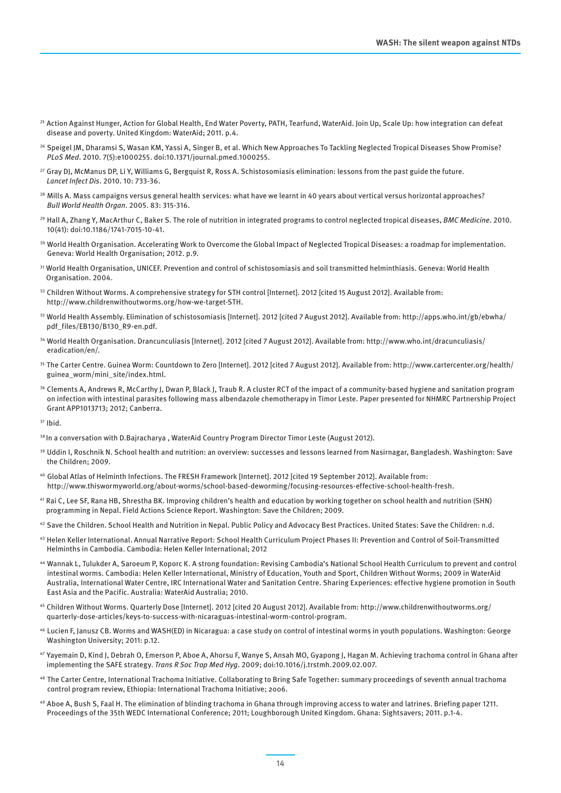- <sup>25</sup> Action Against Hunger, Action for Global Health, End Water Poverty, PATH, Tearfund, WaterAid. Join Up, Scale Up: how integration can defeat disease and poverty. United Kingdom: WaterAid; 2011. p.4.
- <sup>26</sup> Speigel JM, Dharamsi S, Wasan KM, Yassi A, Singer B, et al. Which New Approaches To Tackling Neglected Tropical Diseases Show Promise? *PLoS Med*. 2010. 7(5):e1000255. doi:10.1371/journal.pmed.1000255.
- <sup>27</sup> Gray DJ, McManus DP, Li Y, Williams G, Bergquist R, Ross A. Schistosomiasis elimination: lessons from the past guide the future. *Lancet Infect Dis*. 2010. 10: 733-36.
- $28$  Mills A. Mass campaigns versus general health services: what have we learnt in 40 years about vertical versus horizontal approaches? *Bull World Health Organ*. 2005. 83: 315-316.
- <sup>29</sup>Hall A, Zhang Y, MacArthur C, Baker S. The role of nutrition in integrated programs to control neglected tropical diseases, *BMC Medicine*. 2010. 10(41): doi:10.1186/1741-7015-10-41.
- <sup>30</sup> World Health Organisation. Accelerating Work to Overcome the Global Impact of Neglected Tropical Diseases: a roadmap for implementation. Geneva: World Health Organisation; 2012. p.9.
- <sup>31</sup>World Health Organisation, UNICEF. Prevention and control of schistosomiasis and soil transmitted helminthiasis. Geneva: World Health Organisation. 2004.
- 32 Children Without Worms. A comprehensive strategy for STH control [Internet]. 2012 [cited 15 August 2012]. Available from: http://www.childrenwithoutworms.org/how-we-target-STH.
- <sup>33</sup>World Health Assembly. Elimination of schistosomiasis [Internet]. 2012 [cited 7 August 2012]. Available from: http://apps.who.int/gb/ebwha/ pdf\_files/EB130/B130\_R9-en.pdf.
- 34 World Health Organisation. Drancunculiasis [Internet]. 2012 [cited 7 August 2012]. Available from: http://www.who.int/dracunculiasis/ eradication/en/.
- <sup>35</sup>The Carter Centre. Guinea Worm: Countdown to Zero [Internet]. 2012 [cited 7 August 2012]. Available from: http://www.cartercenter.org/health/ guinea\_worm/mini\_site/index.html.
- <sup>36</sup> Clements A, Andrews R, McCarthy J, Dwan P, Black J, Traub R. A cluster RCT of the impact of a community-based hygiene and sanitation program on infection with intestinal parasites following mass albendazole chemotherapy in Timor Leste. Paper presented for NHMRC Partnership Project Grant APP1013713; 2012; Canberra.
- $37$  Ihid.

<sup>38</sup> In a conversation with D.Bajracharya, WaterAid Country Program Director Timor Leste (August 2012).

- <sup>39</sup> Uddin I, Roschnik N. School health and nutrition: an overview: successes and lessons learned from Nasirnagar, Bangladesh. Washington: Save the Children; 2009.
- <sup>40</sup>Global Atlas of Helminth Infections. The FRESH Framework [Internet]. 2012 [cited 19 September 2012]. Available from: http://www.thiswormyworld.org/about-worms/school-based-deworming/focusing-resources-effective-school-health-fresh.
- <sup>41</sup>Rai C, Lee SF, Rana HB, Shrestha BK. Improving children's health and education by working together on school health and nutrition (SHN) programming in Nepal. Field Actions Science Report. Washington: Save the Children; 2009.
- 42 Save the Children. School Health and Nutrition in Nepal. Public Policy and Advocacy Best Practices. United States: Save the Children: n.d.
- 43 Helen Keller International. Annual Narrative Report: School Health Curriculum Project Phases II: Prevention and Control of Soil-Transmitted Helminths in Cambodia. Cambodia: Helen Keller International; 2012
- <sup>44</sup>Wannak L, Tulukder A, Saroeum P, Koporc K. A strong foundation: Revising Cambodia's National School Health Curriculum to prevent and control intestinal worms. Cambodia: Helen Keller International, Ministry of Education, Youth and Sport, Children Without Worms; 2009 in WaterAid Australia, International Water Centre, IRC International Water and Sanitation Centre. Sharing Experiences: effective hygiene promotion in South East Asia and the Pacific. Australia: WaterAid Australia; 2010.
- <sup>45</sup>Children Without Worms. Quarterly Dose [Internet]. 2012 [cited 20 August 2012]. Available from: http://www.childrenwithoutworms.org/ quarterly-dose-articles/keys-to-success-with-nicaraguas-intestinal-worm-control-program.
- <sup>46</sup>Lucien F, Janusz CB. Worms and WASH(ED) in Nicaragua: a case study on control of intestinal worms in youth populations. Washington: George Washington University; 2011: p.12.
- <sup>47</sup>Yayemain D, Kind J, Debrah O, Emerson P, Aboe A, Ahorsu F, Wanye S, Ansah MO, Gyapong J, Hagan M. Achieving trachoma control in Ghana after implementing the SAFE strategy. *Trans R Soc Trop Med Hyg*. 2009; doi:10.1016/j.trstmh.2009.02.007.
- <sup>48</sup>The Carter Centre, International Trachoma Initiative. Collaborating to Bring Safe Together: summary proceedings of seventh annual trachoma control program review, Ethiopia: International Trachoma Initiative; 2006.
- <sup>49</sup>Aboe A, Bush S, Faal H. The elimination of blinding trachoma in Ghana through improving access to water and latrines. Briefing paper 1211. Proceedings of the 35th WEDC International Conference; 2011; Loughborough United Kingdom. Ghana: Sightsavers; 2011. p.1-4.